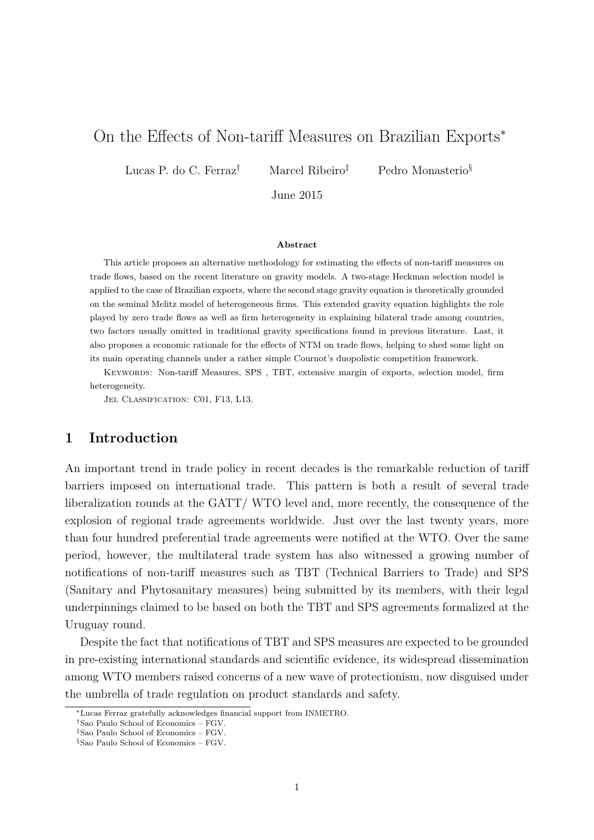# On the Effects of Non-tariff Measures on Brazilian Exports<sup>∗</sup>

Lucas P. do C. Ferraz<sup>†</sup> Marcel Ribeiro<sup>‡</sup> Pedro Monasterio<sup>§</sup>

June 2015

#### **Abstract**

This article proposes an alternative methodology for estimating the effects of non-tariff measures on trade flows, based on the recent literature on gravity models. A two-stage Heckman selection model is applied to the case of Brazilian exports, where the second stage gravity equation is theoretically grounded on the seminal Melitz model of heterogeneous firms. This extended gravity equation highlights the role played by zero trade flows as well as firm heterogeneity in explaining bilateral trade among countries, two factors usually omitted in traditional gravity specifications found in previous literature. Last, it also proposes a economic rationale for the effects of NTM on trade flows, helping to shed some light on its main operating channels under a rather simple Cournot's duopolistic competition framework.

Keywords: Non-tariff Measures, SPS , TBT, extensive margin of exports, selection model, firm heterogeneity.

JEL CLASSIFICATION: C01, F13, L13.

### **1 Introduction**

An important trend in trade policy in recent decades is the remarkable reduction of tariff barriers imposed on international trade. This pattern is both a result of several trade liberalization rounds at the GATT/ WTO level and, more recently, the consequence of the explosion of regional trade agreements worldwide. Just over the last twenty years, more than four hundred preferential trade agreements were notified at the WTO. Over the same period, however, the multilateral trade system has also witnessed a growing number of notifications of non-tariff measures such as TBT (Technical Barriers to Trade) and SPS (Sanitary and Phytosanitary measures) being submitted by its members, with their legal underpinnings claimed to be based on both the TBT and SPS agreements formalized at the Uruguay round.

Despite the fact that notifications of TBT and SPS measures are expected to be grounded in pre-existing international standards and scientific evidence, its widespread dissemination among WTO members raised concerns of a new wave of protectionism, now disguised under the umbrella of trade regulation on product standards and safety.

<sup>∗</sup>Lucas Ferraz gratefully acknowledges financial support from INMETRO.

<sup>†</sup>Sao Paulo School of Economics – FGV.

<sup>‡</sup>Sao Paulo School of Economics – FGV.

<sup>§</sup>Sao Paulo School of Economics – FGV.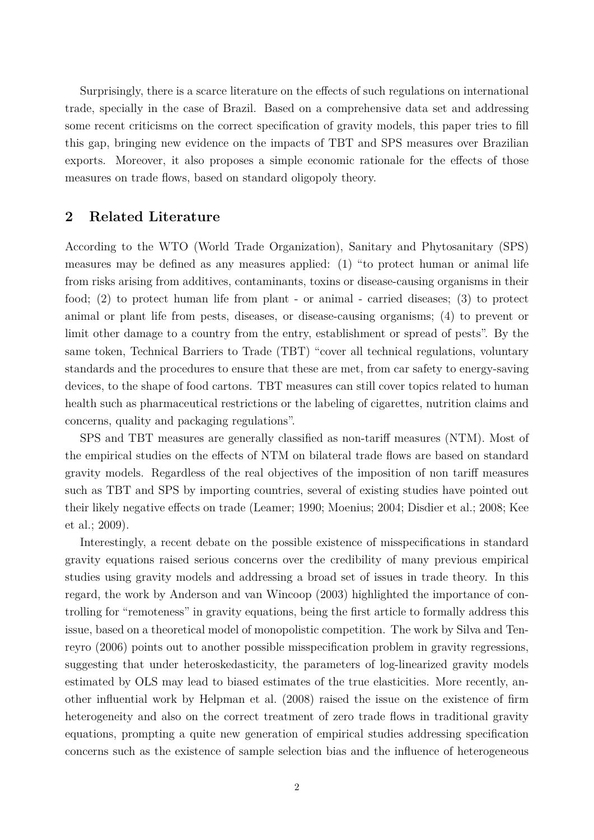Surprisingly, there is a scarce literature on the effects of such regulations on international trade, specially in the case of Brazil. Based on a comprehensive data set and addressing some recent criticisms on the correct specification of gravity models, this paper tries to fill this gap, bringing new evidence on the impacts of TBT and SPS measures over Brazilian exports. Moreover, it also proposes a simple economic rationale for the effects of those measures on trade flows, based on standard oligopoly theory.

## **2 Related Literature**

According to the WTO (World Trade Organization), Sanitary and Phytosanitary (SPS) measures may be defined as any measures applied: (1) "to protect human or animal life from risks arising from additives, contaminants, toxins or disease-causing organisms in their food; (2) to protect human life from plant - or animal - carried diseases; (3) to protect animal or plant life from pests, diseases, or disease-causing organisms; (4) to prevent or limit other damage to a country from the entry, establishment or spread of pests". By the same token, Technical Barriers to Trade (TBT) "cover all technical regulations, voluntary standards and the procedures to ensure that these are met, from car safety to energy-saving devices, to the shape of food cartons. TBT measures can still cover topics related to human health such as pharmaceutical restrictions or the labeling of cigarettes, nutrition claims and concerns, quality and packaging regulations".

SPS and TBT measures are generally classified as non-tariff measures (NTM). Most of the empirical studies on the effects of NTM on bilateral trade flows are based on standard gravity models. Regardless of the real objectives of the imposition of non tariff measures such as TBT and SPS by importing countries, several of existing studies have pointed out their likely negative effects on trade (Leamer; 1990; Moenius; 2004; Disdier et al.; 2008; Kee et al.; 2009).

Interestingly, a recent debate on the possible existence of misspecifications in standard gravity equations raised serious concerns over the credibility of many previous empirical studies using gravity models and addressing a broad set of issues in trade theory. In this regard, the work by Anderson and van Wincoop (2003) highlighted the importance of controlling for "remoteness" in gravity equations, being the first article to formally address this issue, based on a theoretical model of monopolistic competition. The work by Silva and Tenreyro (2006) points out to another possible misspecification problem in gravity regressions, suggesting that under heteroskedasticity, the parameters of log-linearized gravity models estimated by OLS may lead to biased estimates of the true elasticities. More recently, another influential work by Helpman et al. (2008) raised the issue on the existence of firm heterogeneity and also on the correct treatment of zero trade flows in traditional gravity equations, prompting a quite new generation of empirical studies addressing specification concerns such as the existence of sample selection bias and the influence of heterogeneous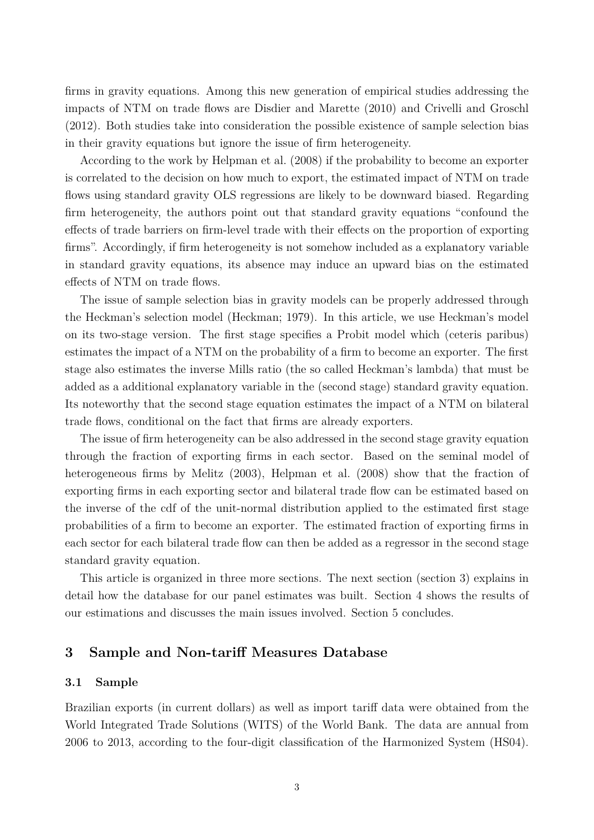firms in gravity equations. Among this new generation of empirical studies addressing the impacts of NTM on trade flows are Disdier and Marette (2010) and Crivelli and Groschl (2012). Both studies take into consideration the possible existence of sample selection bias in their gravity equations but ignore the issue of firm heterogeneity.

According to the work by Helpman et al. (2008) if the probability to become an exporter is correlated to the decision on how much to export, the estimated impact of NTM on trade flows using standard gravity OLS regressions are likely to be downward biased. Regarding firm heterogeneity, the authors point out that standard gravity equations "confound the effects of trade barriers on firm-level trade with their effects on the proportion of exporting firms". Accordingly, if firm heterogeneity is not somehow included as a explanatory variable in standard gravity equations, its absence may induce an upward bias on the estimated effects of NTM on trade flows.

The issue of sample selection bias in gravity models can be properly addressed through the Heckman's selection model (Heckman; 1979). In this article, we use Heckman's model on its two-stage version. The first stage specifies a Probit model which (ceteris paribus) estimates the impact of a NTM on the probability of a firm to become an exporter. The first stage also estimates the inverse Mills ratio (the so called Heckman's lambda) that must be added as a additional explanatory variable in the (second stage) standard gravity equation. Its noteworthy that the second stage equation estimates the impact of a NTM on bilateral trade flows, conditional on the fact that firms are already exporters.

The issue of firm heterogeneity can be also addressed in the second stage gravity equation through the fraction of exporting firms in each sector. Based on the seminal model of heterogeneous firms by Melitz (2003), Helpman et al. (2008) show that the fraction of exporting firms in each exporting sector and bilateral trade flow can be estimated based on the inverse of the cdf of the unit-normal distribution applied to the estimated first stage probabilities of a firm to become an exporter. The estimated fraction of exporting firms in each sector for each bilateral trade flow can then be added as a regressor in the second stage standard gravity equation.

This article is organized in three more sections. The next section (section 3) explains in detail how the database for our panel estimates was built. Section 4 shows the results of our estimations and discusses the main issues involved. Section 5 concludes.

### **3 Sample and Non-tariff Measures Database**

#### **3.1 Sample**

Brazilian exports (in current dollars) as well as import tariff data were obtained from the World Integrated Trade Solutions (WITS) of the World Bank. The data are annual from 2006 to 2013, according to the four-digit classification of the Harmonized System (HS04).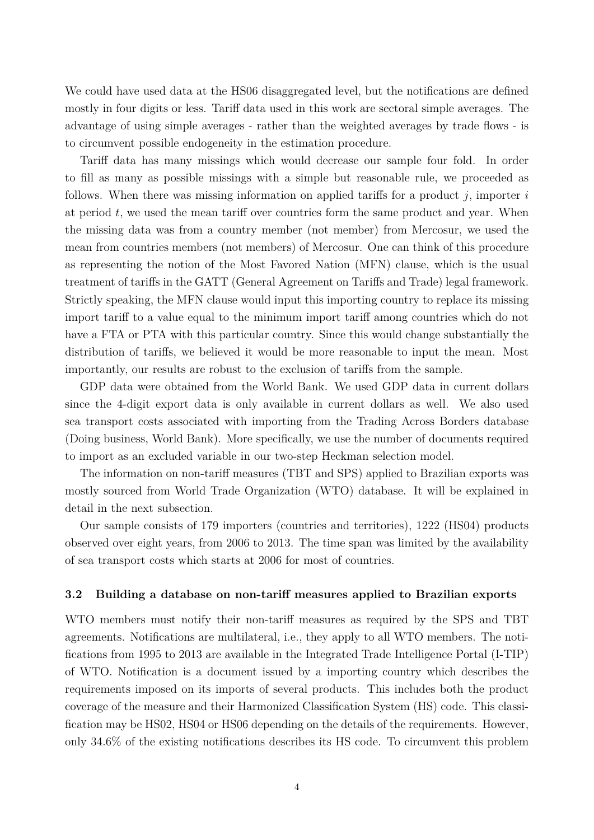We could have used data at the HS06 disaggregated level, but the notifications are defined mostly in four digits or less. Tariff data used in this work are sectoral simple averages. The advantage of using simple averages - rather than the weighted averages by trade flows - is to circumvent possible endogeneity in the estimation procedure.

Tariff data has many missings which would decrease our sample four fold. In order to fill as many as possible missings with a simple but reasonable rule, we proceeded as follows. When there was missing information on applied tariffs for a product *j*, importer *i* at period *t*, we used the mean tariff over countries form the same product and year. When the missing data was from a country member (not member) from Mercosur, we used the mean from countries members (not members) of Mercosur. One can think of this procedure as representing the notion of the Most Favored Nation (MFN) clause, which is the usual treatment of tariffs in the GATT (General Agreement on Tariffs and Trade) legal framework. Strictly speaking, the MFN clause would input this importing country to replace its missing import tariff to a value equal to the minimum import tariff among countries which do not have a FTA or PTA with this particular country. Since this would change substantially the distribution of tariffs, we believed it would be more reasonable to input the mean. Most importantly, our results are robust to the exclusion of tariffs from the sample.

GDP data were obtained from the World Bank. We used GDP data in current dollars since the 4-digit export data is only available in current dollars as well. We also used sea transport costs associated with importing from the Trading Across Borders database (Doing business, World Bank). More specifically, we use the number of documents required to import as an excluded variable in our two-step Heckman selection model.

The information on non-tariff measures (TBT and SPS) applied to Brazilian exports was mostly sourced from World Trade Organization (WTO) database. It will be explained in detail in the next subsection.

Our sample consists of 179 importers (countries and territories), 1222 (HS04) products observed over eight years, from 2006 to 2013. The time span was limited by the availability of sea transport costs which starts at 2006 for most of countries.

#### **3.2 Building a database on non-tariff measures applied to Brazilian exports**

WTO members must notify their non-tariff measures as required by the SPS and TBT agreements. Notifications are multilateral, i.e., they apply to all WTO members. The notifications from 1995 to 2013 are available in the Integrated Trade Intelligence Portal (I-TIP) of WTO. Notification is a document issued by a importing country which describes the requirements imposed on its imports of several products. This includes both the product coverage of the measure and their Harmonized Classification System (HS) code. This classification may be HS02, HS04 or HS06 depending on the details of the requirements. However, only 34.6% of the existing notifications describes its HS code. To circumvent this problem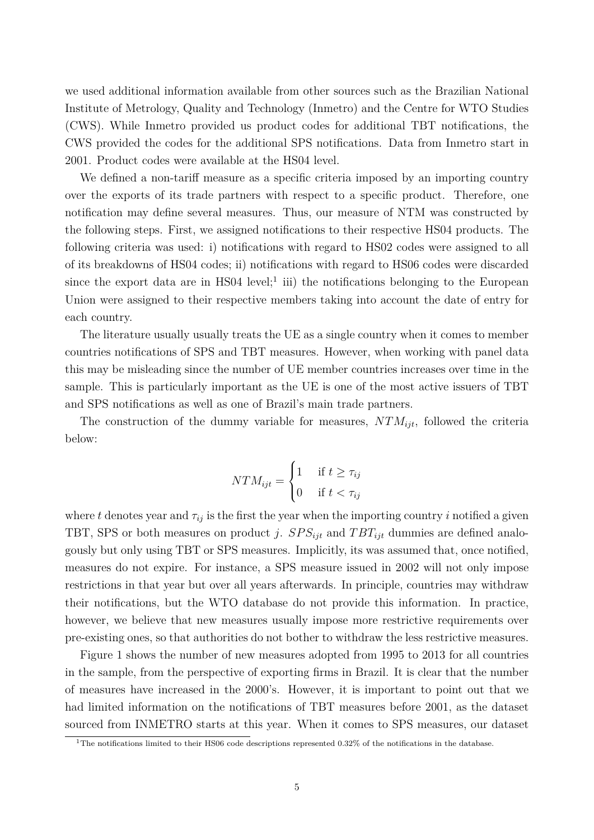we used additional information available from other sources such as the Brazilian National Institute of Metrology, Quality and Technology (Inmetro) and the Centre for WTO Studies (CWS). While Inmetro provided us product codes for additional TBT notifications, the CWS provided the codes for the additional SPS notifications. Data from Inmetro start in 2001. Product codes were available at the HS04 level.

We defined a non-tariff measure as a specific criteria imposed by an importing country over the exports of its trade partners with respect to a specific product. Therefore, one notification may define several measures. Thus, our measure of NTM was constructed by the following steps. First, we assigned notifications to their respective HS04 products. The following criteria was used: i) notifications with regard to HS02 codes were assigned to all of its breakdowns of HS04 codes; ii) notifications with regard to HS06 codes were discarded since the export data are in HS04 level;<sup>1</sup> iii) the notifications belonging to the European Union were assigned to their respective members taking into account the date of entry for each country.

The literature usually usually treats the UE as a single country when it comes to member countries notifications of SPS and TBT measures. However, when working with panel data this may be misleading since the number of UE member countries increases over time in the sample. This is particularly important as the UE is one of the most active issuers of TBT and SPS notifications as well as one of Brazil's main trade partners.

The construction of the dummy variable for measures, *NTMijt*, followed the criteria below:

$$
NTM_{ijt} = \begin{cases} 1 & \text{if } t \ge \tau_{ij} \\ 0 & \text{if } t < \tau_{ij} \end{cases}
$$

where *t* denotes year and  $\tau_{ij}$  is the first the year when the importing country *i* notified a given TBT, SPS or both measures on product *j.*  $SPS_{ijt}$  and  $TBT_{ijt}$  dummies are defined analogously but only using TBT or SPS measures. Implicitly, its was assumed that, once notified, measures do not expire. For instance, a SPS measure issued in 2002 will not only impose restrictions in that year but over all years afterwards. In principle, countries may withdraw their notifications, but the WTO database do not provide this information. In practice, however, we believe that new measures usually impose more restrictive requirements over pre-existing ones, so that authorities do not bother to withdraw the less restrictive measures.

Figure 1 shows the number of new measures adopted from 1995 to 2013 for all countries in the sample, from the perspective of exporting firms in Brazil. It is clear that the number of measures have increased in the 2000's. However, it is important to point out that we had limited information on the notifications of TBT measures before 2001, as the dataset sourced from INMETRO starts at this year. When it comes to SPS measures, our dataset

<sup>1</sup>The notifications limited to their HS06 code descriptions represented 0.32% of the notifications in the database.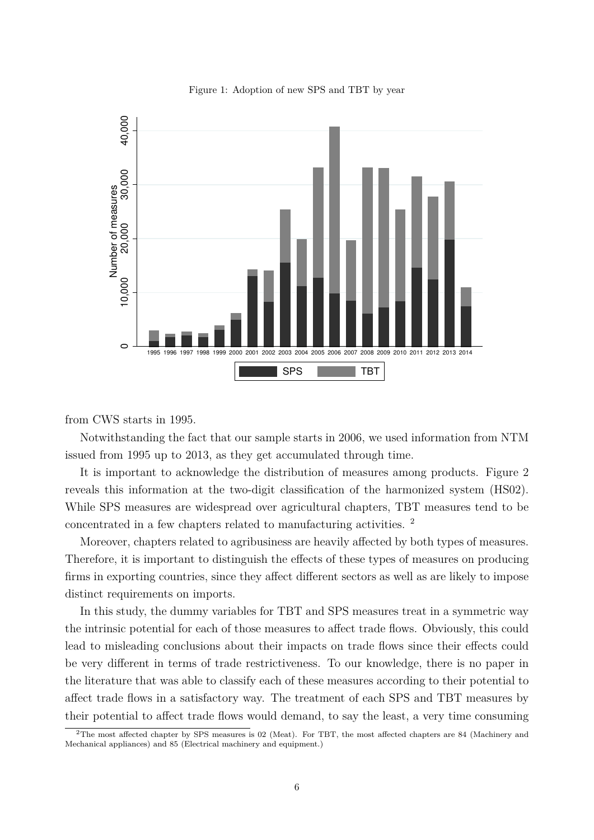

Figure 1: Adoption of new SPS and TBT by year

from CWS starts in 1995.

Notwithstanding the fact that our sample starts in 2006, we used information from NTM issued from 1995 up to 2013, as they get accumulated through time.

It is important to acknowledge the distribution of measures among products. Figure 2 reveals this information at the two-digit classification of the harmonized system (HS02). While SPS measures are widespread over agricultural chapters, TBT measures tend to be concentrated in a few chapters related to manufacturing activities. <sup>2</sup>

Moreover, chapters related to agribusiness are heavily affected by both types of measures. Therefore, it is important to distinguish the effects of these types of measures on producing firms in exporting countries, since they affect different sectors as well as are likely to impose distinct requirements on imports.

In this study, the dummy variables for TBT and SPS measures treat in a symmetric way the intrinsic potential for each of those measures to affect trade flows. Obviously, this could lead to misleading conclusions about their impacts on trade flows since their effects could be very different in terms of trade restrictiveness. To our knowledge, there is no paper in the literature that was able to classify each of these measures according to their potential to affect trade flows in a satisfactory way. The treatment of each SPS and TBT measures by their potential to affect trade flows would demand, to say the least, a very time consuming

<sup>2</sup>The most affected chapter by SPS measures is 02 (Meat). For TBT, the most affected chapters are 84 (Machinery and Mechanical appliances) and 85 (Electrical machinery and equipment.)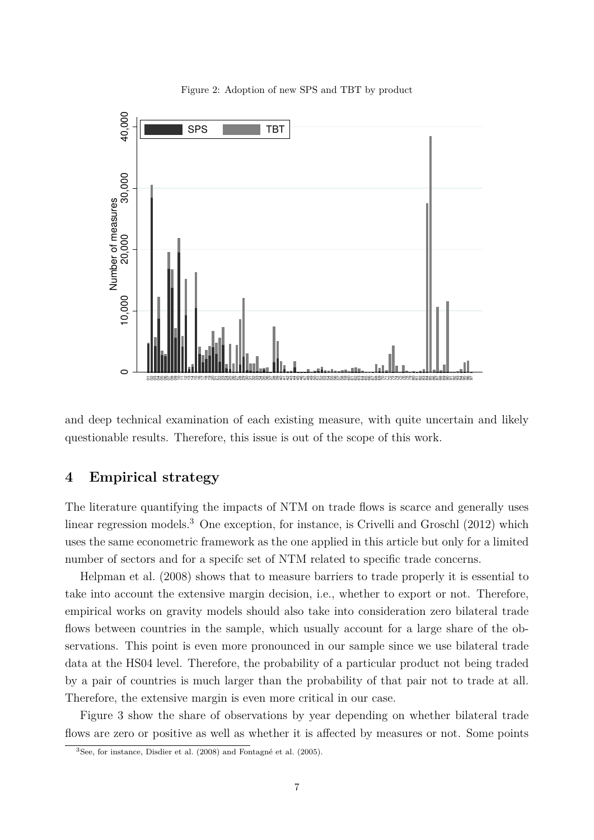

Figure 2: Adoption of new SPS and TBT by product

and deep technical examination of each existing measure, with quite uncertain and likely questionable results. Therefore, this issue is out of the scope of this work.

# **4 Empirical strategy**

The literature quantifying the impacts of NTM on trade flows is scarce and generally uses linear regression models.<sup>3</sup> One exception, for instance, is Crivelli and Groschl (2012) which uses the same econometric framework as the one applied in this article but only for a limited number of sectors and for a specifc set of NTM related to specific trade concerns.

Helpman et al. (2008) shows that to measure barriers to trade properly it is essential to take into account the extensive margin decision, i.e., whether to export or not. Therefore, empirical works on gravity models should also take into consideration zero bilateral trade flows between countries in the sample, which usually account for a large share of the observations. This point is even more pronounced in our sample since we use bilateral trade data at the HS04 level. Therefore, the probability of a particular product not being traded by a pair of countries is much larger than the probability of that pair not to trade at all. Therefore, the extensive margin is even more critical in our case.

Figure 3 show the share of observations by year depending on whether bilateral trade flows are zero or positive as well as whether it is affected by measures or not. Some points

<sup>3</sup>See, for instance, Disdier et al. (2008) and Fontagné et al. (2005).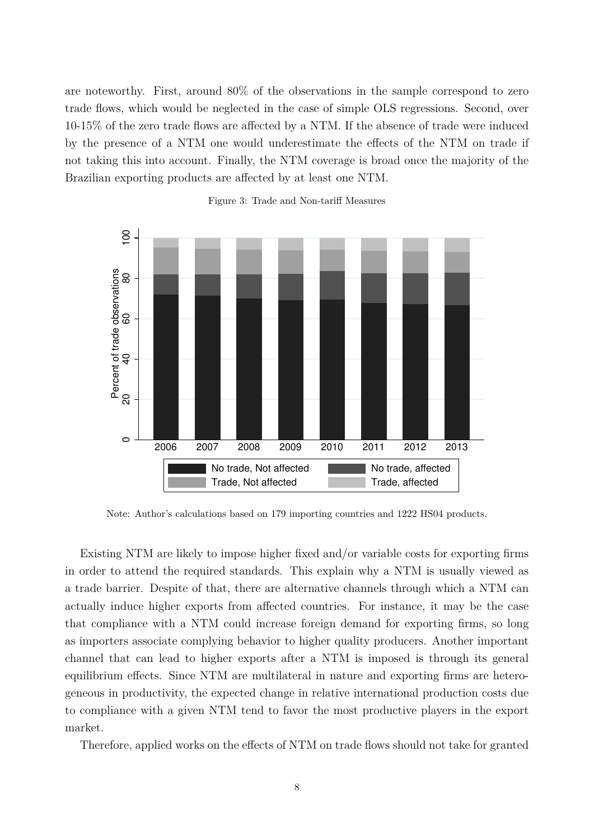are noteworthy. First, around 80% of the observations in the sample correspond to zero trade flows, which would be neglected in the case of simple OLS regressions. Second, over 10-15% of the zero trade flows are affected by a NTM. If the absence of trade were induced by the presence of a NTM one would underestimate the effects of the NTM on trade if not taking this into account. Finally, the NTM coverage is broad once the majority of the Brazilian exporting products are affected by at least one NTM.



Figure 3: Trade and Non-tariff Measures

Note: Author's calculations based on 179 importing countries and 1222 HS04 products.

Existing NTM are likely to impose higher fixed and/or variable costs for exporting firms in order to attend the required standards. This explain why a NTM is usually viewed as a trade barrier. Despite of that, there are alternative channels through which a NTM can actually induce higher exports from affected countries. For instance, it may be the case that compliance with a NTM could increase foreign demand for exporting firms, so long as importers associate complying behavior to higher quality producers. Another important channel that can lead to higher exports after a NTM is imposed is through its general equilibrium effects. Since NTM are multilateral in nature and exporting firms are heterogeneous in productivity, the expected change in relative international production costs due to compliance with a given NTM tend to favor the most productive players in the export market.

Therefore, applied works on the effects of NTM on trade flows should not take for granted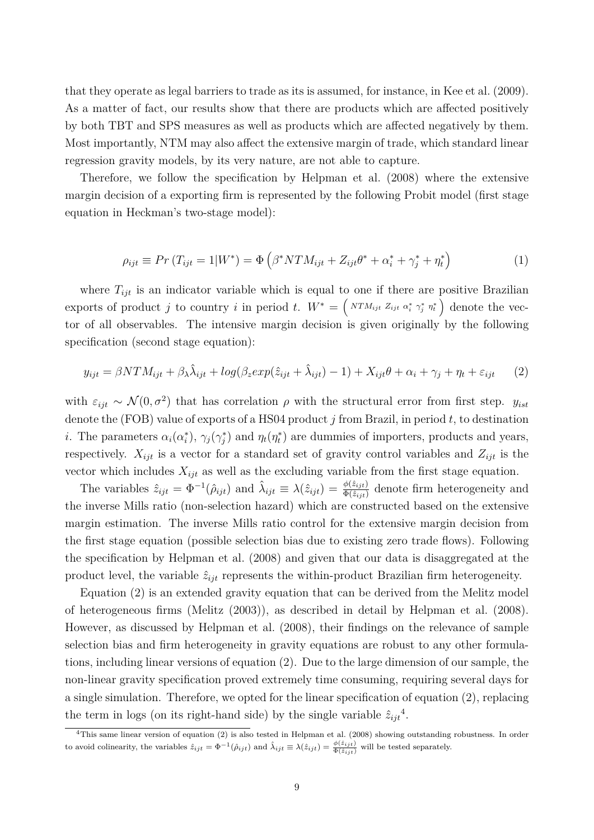that they operate as legal barriers to trade as its is assumed, for instance, in Kee et al. (2009). As a matter of fact, our results show that there are products which are affected positively by both TBT and SPS measures as well as products which are affected negatively by them. Most importantly, NTM may also affect the extensive margin of trade, which standard linear regression gravity models, by its very nature, are not able to capture.

Therefore, we follow the specification by Helpman et al. (2008) where the extensive margin decision of a exporting firm is represented by the following Probit model (first stage equation in Heckman's two-stage model):

$$
\rho_{ijt} \equiv Pr(T_{ijt} = 1|W^*) = \Phi\left(\beta^* N T M_{ijt} + Z_{ijt} \theta^* + \alpha_i^* + \gamma_j^* + \eta_t^*\right)
$$
\n(1)

where  $T_{ijt}$  is an indicator variable which is equal to one if there are positive Brazilian exports of product *j* to country *i* in period *t*.  $W^* = \left( N^T M_{ijt} Z_{ijt} \alpha_i^* \gamma_j^* \eta_t^* \right)$  denote the vector of all observables. The intensive margin decision is given originally by the following specification (second stage equation):

$$
y_{ijt} = \beta N T M_{ijt} + \beta \lambda \hat{\lambda}_{ijt} + \log(\beta_z \exp(\hat{z}_{ijt} + \hat{\lambda}_{ijt}) - 1) + X_{ijt}\theta + \alpha_i + \gamma_j + \eta_t + \varepsilon_{ijt} \tag{2}
$$

with  $\varepsilon_{ijt} \sim \mathcal{N}(0, \sigma^2)$  that has correlation  $\rho$  with the structural error from first step.  $y_{ist}$ denote the (FOB) value of exports of a HS04 product *j* from Brazil, in period *t*, to destination *i*. The parameters  $\alpha_i(\alpha_i^*), \gamma_j(\gamma_j^*)$  and  $\eta_t(\eta_t^*)$  are dummies of importers, products and years, respectively.  $X_{ijt}$  is a vector for a standard set of gravity control variables and  $Z_{ijt}$  is the vector which includes  $X_{ijt}$  as well as the excluding variable from the first stage equation.

The variables  $\hat{z}_{ijt} = \Phi^{-1}(\hat{\rho}_{ijt})$  and  $\hat{\lambda}_{ijt} \equiv \lambda(\hat{z}_{ijt}) = \frac{\phi(\hat{z}_{ijt})}{\Phi(\hat{z}_{ijt})}$  denote firm heterogeneity and the inverse Mills ratio (non-selection hazard) which are constructed based on the extensive margin estimation. The inverse Mills ratio control for the extensive margin decision from the first stage equation (possible selection bias due to existing zero trade flows). Following the specification by Helpman et al. (2008) and given that our data is disaggregated at the product level, the variable  $\hat{z}_{ijt}$  represents the within-product Brazilian firm heterogeneity.

Equation (2) is an extended gravity equation that can be derived from the Melitz model of heterogeneous firms (Melitz (2003)), as described in detail by Helpman et al. (2008). However, as discussed by Helpman et al. (2008), their findings on the relevance of sample selection bias and firm heterogeneity in gravity equations are robust to any other formulations, including linear versions of equation (2). Due to the large dimension of our sample, the non-linear gravity specification proved extremely time consuming, requiring several days for a single simulation. Therefore, we opted for the linear specification of equation (2), replacing the term in logs (on its right-hand side) by the single variable  $\hat{z}_{ijt}^4$ .

<sup>&</sup>lt;sup>4</sup>This same linear version of equation (2) is also tested in Helpman et al. (2008) showing outstanding robustness. In order to avoid colinearity, the variables  $\hat{z}_{ijt} = \Phi^{-1}(\hat{\rho}_{ijt})$  and  $\hat{\lambda}_{ijt} \equiv \lambda(\hat{z}_{ijt}) = \frac{\phi(\hat{z}_{ijt})}{\Phi(\hat{z}_{ijt})}$  will be tested separately.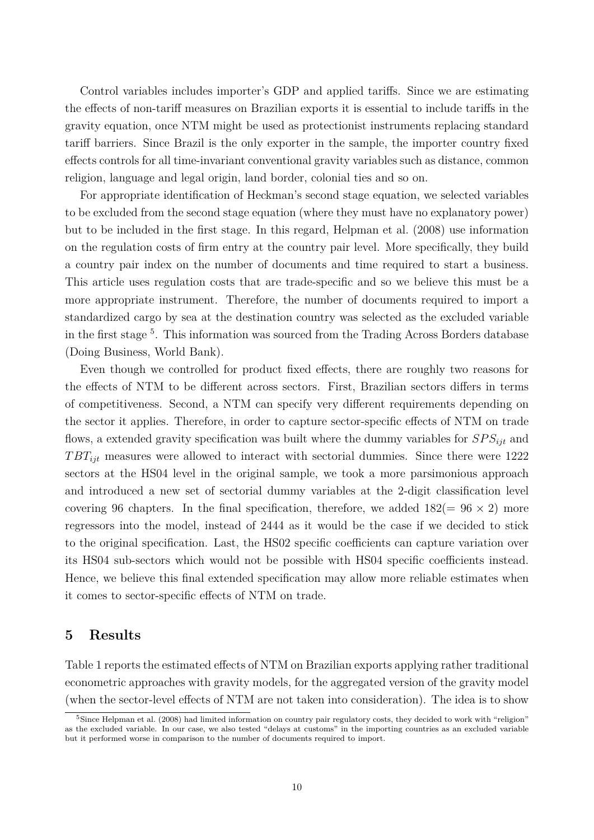Control variables includes importer's GDP and applied tariffs. Since we are estimating the effects of non-tariff measures on Brazilian exports it is essential to include tariffs in the gravity equation, once NTM might be used as protectionist instruments replacing standard tariff barriers. Since Brazil is the only exporter in the sample, the importer country fixed effects controls for all time-invariant conventional gravity variables such as distance, common religion, language and legal origin, land border, colonial ties and so on.

For appropriate identification of Heckman's second stage equation, we selected variables to be excluded from the second stage equation (where they must have no explanatory power) but to be included in the first stage. In this regard, Helpman et al. (2008) use information on the regulation costs of firm entry at the country pair level. More specifically, they build a country pair index on the number of documents and time required to start a business. This article uses regulation costs that are trade-specific and so we believe this must be a more appropriate instrument. Therefore, the number of documents required to import a standardized cargo by sea at the destination country was selected as the excluded variable in the first stage<sup>5</sup>. This information was sourced from the Trading Across Borders database (Doing Business, World Bank).

Even though we controlled for product fixed effects, there are roughly two reasons for the effects of NTM to be different across sectors. First, Brazilian sectors differs in terms of competitiveness. Second, a NTM can specify very different requirements depending on the sector it applies. Therefore, in order to capture sector-specific effects of NTM on trade flows, a extended gravity specification was built where the dummy variables for *SP Sijt* and *T BTijt* measures were allowed to interact with sectorial dummies. Since there were 1222 sectors at the HS04 level in the original sample, we took a more parsimonious approach and introduced a new set of sectorial dummy variables at the 2-digit classification level covering 96 chapters. In the final specification, therefore, we added  $182(= 96 \times 2)$  more regressors into the model, instead of 2444 as it would be the case if we decided to stick to the original specification. Last, the HS02 specific coefficients can capture variation over its HS04 sub-sectors which would not be possible with HS04 specific coefficients instead. Hence, we believe this final extended specification may allow more reliable estimates when it comes to sector-specific effects of NTM on trade.

### **5 Results**

Table 1 reports the estimated effects of NTM on Brazilian exports applying rather traditional econometric approaches with gravity models, for the aggregated version of the gravity model (when the sector-level effects of NTM are not taken into consideration). The idea is to show

<sup>&</sup>lt;sup>5</sup>Since Helpman et al. (2008) had limited information on country pair regulatory costs, they decided to work with "religion" as the excluded variable. In our case, we also tested "delays at customs" in the importing countries as an excluded variable but it performed worse in comparison to the number of documents required to import.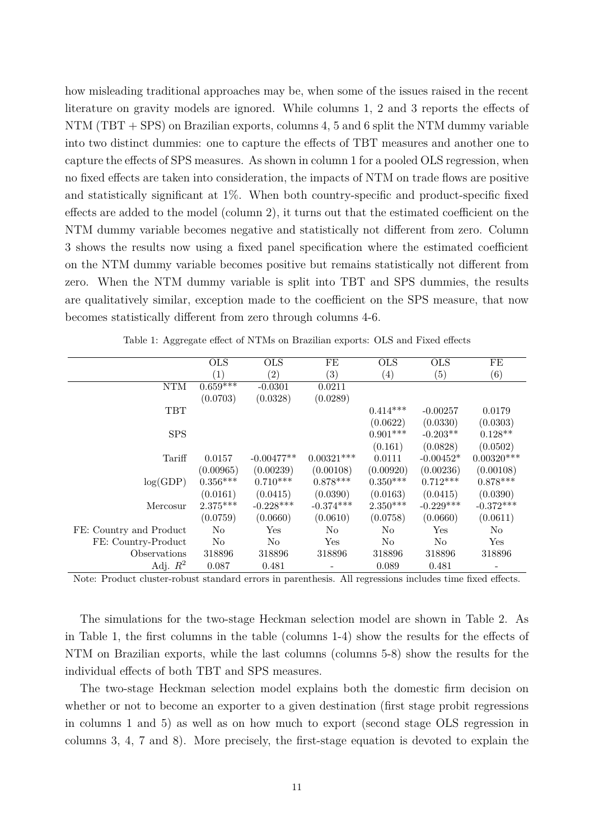how misleading traditional approaches may be, when some of the issues raised in the recent literature on gravity models are ignored. While columns 1, 2 and 3 reports the effects of NTM (TBT + SPS) on Brazilian exports, columns 4, 5 and 6 split the NTM dummy variable into two distinct dummies: one to capture the effects of TBT measures and another one to capture the effects of SPS measures. As shown in column 1 for a pooled OLS regression, when no fixed effects are taken into consideration, the impacts of NTM on trade flows are positive and statistically significant at 1%. When both country-specific and product-specific fixed effects are added to the model (column 2), it turns out that the estimated coefficient on the NTM dummy variable becomes negative and statistically not different from zero. Column 3 shows the results now using a fixed panel specification where the estimated coefficient on the NTM dummy variable becomes positive but remains statistically not different from zero. When the NTM dummy variable is split into TBT and SPS dummies, the results are qualitatively similar, exception made to the coefficient on the SPS measure, that now becomes statistically different from zero through columns 4-6.

|                         | <b>OLS</b>            | <b>OLS</b>   | FE           | <b>OLS</b>        | <b>OLS</b>  | FE           |
|-------------------------|-----------------------|--------------|--------------|-------------------|-------------|--------------|
|                         | (1)                   | (2)          | (3)          | $\left( 4\right)$ | (5)         | (6)          |
| <b>NTM</b>              | $0.65\overline{9***}$ | $-0.0301$    | 0.0211       |                   |             |              |
|                         | (0.0703)              | (0.0328)     | (0.0289)     |                   |             |              |
| TBT                     |                       |              |              | $0.414***$        | $-0.00257$  | 0.0179       |
|                         |                       |              |              | (0.0622)          | (0.0330)    | (0.0303)     |
| <b>SPS</b>              |                       |              |              | $0.901***$        | $-0.203**$  | $0.128**$    |
|                         |                       |              |              | (0.161)           | (0.0828)    | (0.0502)     |
| Tariff                  | 0.0157                | $-0.00477**$ | $0.00321***$ | 0.0111            | $-0.00452*$ | $0.00320***$ |
|                         | (0.00965)             | (0.00239)    | (0.00108)    | (0.00920)         | (0.00236)   | (0.00108)    |
| log(GDP)                | $0.356***$            | $0.710***$   | $0.878***$   | $0.350***$        | $0.712***$  | $0.878***$   |
|                         | (0.0161)              | (0.0415)     | (0.0390)     | (0.0163)          | (0.0415)    | (0.0390)     |
| Mercosur                | $2.375***$            | $-0.228***$  | $-0.374***$  | $2.350***$        | $-0.229***$ | $-0.372***$  |
|                         | (0.0759)              | (0.0660)     | (0.0610)     | (0.0758)          | (0.0660)    | (0.0611)     |
| FE: Country and Product | $\rm No$              | Yes          | No           | N <sub>o</sub>    | Yes         | $\rm No$     |
| FE: Country-Product     | No                    | $\rm No$     | Yes          | N <sub>o</sub>    | $\rm No$    | Yes          |
| Observations            | 318896                | 318896       | 318896       | 318896            | 318896      | 318896       |
| Adj. $R^2$              | 0.087                 | 0.481        |              | 0.089             | 0.481       |              |

Table 1: Aggregate effect of NTMs on Brazilian exports: OLS and Fixed effects

Note: Product cluster-robust standard errors in parenthesis. All regressions includes time fixed effects.

The simulations for the two-stage Heckman selection model are shown in Table 2. As in Table 1, the first columns in the table (columns 1-4) show the results for the effects of NTM on Brazilian exports, while the last columns (columns 5-8) show the results for the individual effects of both TBT and SPS measures.

The two-stage Heckman selection model explains both the domestic firm decision on whether or not to become an exporter to a given destination (first stage probit regressions in columns 1 and 5) as well as on how much to export (second stage OLS regression in columns 3, 4, 7 and 8). More precisely, the first-stage equation is devoted to explain the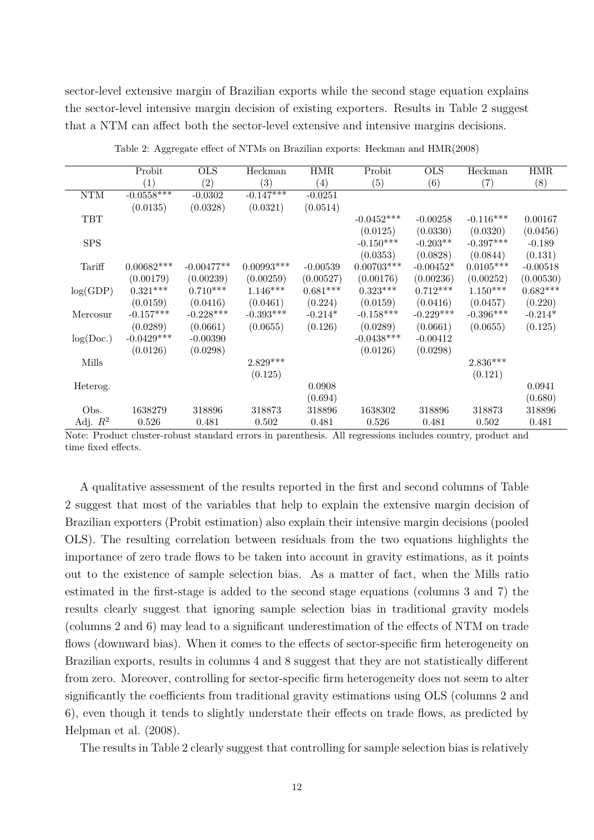sector-level extensive margin of Brazilian exports while the second stage equation explains the sector-level intensive margin decision of existing exporters. Results in Table 2 suggest that a NTM can affect both the sector-level extensive and intensive margins decisions.

|            | Probit                     | <b>OLS</b>        | Heckman         | <b>HMR</b>        | Probit            | <b>OLS</b>                                                       | Heckman     | <b>HMR</b> |
|------------|----------------------------|-------------------|-----------------|-------------------|-------------------|------------------------------------------------------------------|-------------|------------|
|            | (1)                        | $\left( 2\right)$ | (3)             | $\left( 4\right)$ | $\left( 5\right)$ | (6)                                                              | (7)         | (8)        |
| NTM        | $-0.0558***$               | $-0.0302$         | $-0.147***$     | $-0.0251$         |                   |                                                                  |             |            |
|            | (0.0135)                   | (0.0328)          | (0.0321)        | (0.0514)          |                   |                                                                  |             |            |
| <b>TBT</b> |                            |                   |                 |                   | $-0.0452***$      | $-0.00258$                                                       | $-0.116***$ | 0.00167    |
|            |                            |                   |                 |                   | (0.0125)          | (0.0330)                                                         | (0.0320)    | (0.0456)   |
| <b>SPS</b> |                            |                   |                 |                   | $-0.150***$       | $-0.203**$                                                       | $-0.397***$ | $-0.189$   |
|            |                            |                   |                 |                   | (0.0353)          | (0.0828)                                                         | (0.0844)    | (0.131)    |
| Tariff     | $0.00682***$               | $-0.00477**$      | $0.00993***$    | $-0.00539$        | $0.00703***$      | $-0.00452*$                                                      | $0.0105***$ | $-0.00518$ |
|            | (0.00179)                  | (0.00239)         | (0.00259)       | (0.00527)         | (0.00176)         | (0.00236)                                                        | (0.00252)   | (0.00530)  |
| log(GDP)   | $0.321***$                 | $0.710***$        | $1.146^{***}\;$ | $0.681***$        | $0.323^{***}\,$   | $0.712***$                                                       | $1.150***$  | $0.682***$ |
|            | (0.0159)                   | (0.0416)          | (0.0461)        | (0.224)           | (0.0159)          | (0.0416)                                                         | (0.0457)    | (0.220)    |
| Mercosur   | $-0.157***$                | $-0.228***$       | $-0.393***$     | $-0.214*$         | $-0.158***$       | $-0.229***$                                                      | $-0.396***$ | $-0.214*$  |
|            | (0.0289)                   | (0.0661)          | (0.0655)        | (0.126)           | (0.0289)          | (0.0661)                                                         | (0.0655)    | (0.125)    |
| log(Doc.)  | $-0.0429***$               | $-0.00390$        |                 |                   | $-0.0438***$      | $-0.00412$                                                       |             |            |
|            | (0.0126)                   | (0.0298)          |                 |                   | (0.0126)          | (0.0298)                                                         |             |            |
| Mills      |                            |                   | $2.829***$      |                   |                   |                                                                  | $2.836***$  |            |
|            |                            |                   | (0.125)         |                   |                   |                                                                  | (0.121)     |            |
| Heterog.   |                            |                   |                 | 0.0908            |                   |                                                                  |             | 0.0941     |
|            |                            |                   |                 | (0.694)           |                   |                                                                  |             | (0.680)    |
| Obs.       | 1638279                    | 318896            | 318873          | 318896            | 1638302           | 318896                                                           | 318873      | 318896     |
| Adj. $R^2$ | 0.526<br>11 נוניוני ולא הי | 0.481             | 0.502           | 0.481<br>A 11     | 0.526             | 0.481<br>$\cdot$ $\cdot$ $\cdot$ $\cdot$ $\cdot$ $\cdot$ $\cdot$ | 0.502       | 0.481      |

Table 2: Aggregate effect of NTMs on Brazilian exports: Heckman and HMR(2008)

Note: Product cluster-robust standard errors in parenthesis. All regressions includes country, product and time fixed effects.

A qualitative assessment of the results reported in the first and second columns of Table 2 suggest that most of the variables that help to explain the extensive margin decision of Brazilian exporters (Probit estimation) also explain their intensive margin decisions (pooled OLS). The resulting correlation between residuals from the two equations highlights the importance of zero trade flows to be taken into account in gravity estimations, as it points out to the existence of sample selection bias. As a matter of fact, when the Mills ratio estimated in the first-stage is added to the second stage equations (columns 3 and 7) the results clearly suggest that ignoring sample selection bias in traditional gravity models (columns 2 and 6) may lead to a significant underestimation of the effects of NTM on trade flows (downward bias). When it comes to the effects of sector-specific firm heterogeneity on Brazilian exports, results in columns 4 and 8 suggest that they are not statistically different from zero. Moreover, controlling for sector-specific firm heterogeneity does not seem to alter significantly the coefficients from traditional gravity estimations using OLS (columns 2 and 6), even though it tends to slightly understate their effects on trade flows, as predicted by Helpman et al. (2008).

The results in Table 2 clearly suggest that controlling for sample selection bias is relatively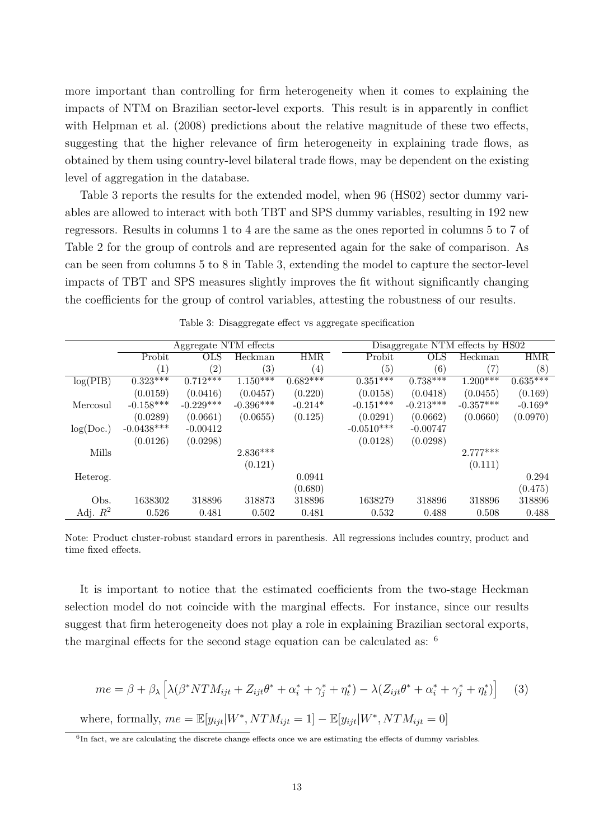more important than controlling for firm heterogeneity when it comes to explaining the impacts of NTM on Brazilian sector-level exports. This result is in apparently in conflict with Helpman et al. (2008) predictions about the relative magnitude of these two effects, suggesting that the higher relevance of firm heterogeneity in explaining trade flows, as obtained by them using country-level bilateral trade flows, may be dependent on the existing level of aggregation in the database.

Table 3 reports the results for the extended model, when 96 (HS02) sector dummy variables are allowed to interact with both TBT and SPS dummy variables, resulting in 192 new regressors. Results in columns 1 to 4 are the same as the ones reported in columns 5 to 7 of Table 2 for the group of controls and are represented again for the sake of comparison. As can be seen from columns 5 to 8 in Table 3, extending the model to capture the sector-level impacts of TBT and SPS measures slightly improves the fit without significantly changing the coefficients for the group of control variables, attesting the robustness of our results.

|            | Aggregate NTM effects |                   |                       |            |                       | Disaggregate NTM effects by HS02 |             |                       |  |
|------------|-----------------------|-------------------|-----------------------|------------|-----------------------|----------------------------------|-------------|-----------------------|--|
|            | Probit                | <b>OLS</b>        | Heckman               | <b>HMR</b> | Probit                | OLS                              | Heckman     | <b>HMR</b>            |  |
|            | (1)                   | $\left( 2\right)$ | $\left( 3\right)$     | (4)        | (5)                   | (6)                              | (7)         | (8)                   |  |
| log(PIB)   | $0.323***$            | $0.712***$        | $1.1\overline{50***}$ | $0.682***$ | $0.35\overline{1***}$ | $0.738***$                       | $1.200***$  | $0.63\overline{5***}$ |  |
|            | (0.0159)              | (0.0416)          | (0.0457)              | (0.220)    | (0.0158)              | (0.0418)                         | (0.0455)    | (0.169)               |  |
| Mercosul   | $-0.158***$           | $-0.229***$       | $-0.396***$           | $-0.214*$  | $-0.151***$           | $-0.213***$                      | $-0.357***$ | $-0.169*$             |  |
|            | (0.0289)              | (0.0661)          | (0.0655)              | (0.125)    | (0.0291)              | (0.0662)                         | (0.0660)    | (0.0970)              |  |
| log(Doc.)  | $-0.0438***$          | $-0.00412$        |                       |            | $-0.0510***$          | $-0.00747$                       |             |                       |  |
|            | (0.0126)              | (0.0298)          |                       |            | (0.0128)              | (0.0298)                         |             |                       |  |
| Mills      |                       |                   | $2.836***$            |            |                       |                                  | $2.777***$  |                       |  |
|            |                       |                   | (0.121)               |            |                       |                                  | (0.111)     |                       |  |
| Heterog.   |                       |                   |                       | 0.0941     |                       |                                  |             | 0.294                 |  |
|            |                       |                   |                       | (0.680)    |                       |                                  |             | (0.475)               |  |
| Obs.       | 1638302               | 318896            | 318873                | 318896     | 1638279               | 318896                           | 318896      | 318896                |  |
| Adj. $R^2$ | 0.526                 | 0.481             | 0.502                 | 0.481      | 0.532                 | 0.488                            | 0.508       | 0.488                 |  |

| Table 3: Disaggregate effect vs aggregate specification |  |  |
|---------------------------------------------------------|--|--|
|                                                         |  |  |

Note: Product cluster-robust standard errors in parenthesis. All regressions includes country, product and time fixed effects.

It is important to notice that the estimated coefficients from the two-stage Heckman selection model do not coincide with the marginal effects. For instance, since our results suggest that firm heterogeneity does not play a role in explaining Brazilian sectoral exports, the marginal effects for the second stage equation can be calculated as: <sup>6</sup>

$$
me = \beta + \beta_{\lambda} \left[ \lambda (\beta^* N T M_{ijt} + Z_{ijt} \theta^* + \alpha_i^* + \gamma_j^* + \eta_t^*) - \lambda (Z_{ijt} \theta^* + \alpha_i^* + \gamma_j^* + \eta_t^*) \right]
$$
(3)

where, formally,  $me = \mathbb{E}[y_{ijt}|W^*, NTM_{ijt} = 1] - \mathbb{E}[y_{ijt}|W^*, NTM_{ijt} = 0]$ 

<sup>6</sup>In fact, we are calculating the discrete change effects once we are estimating the effects of dummy variables.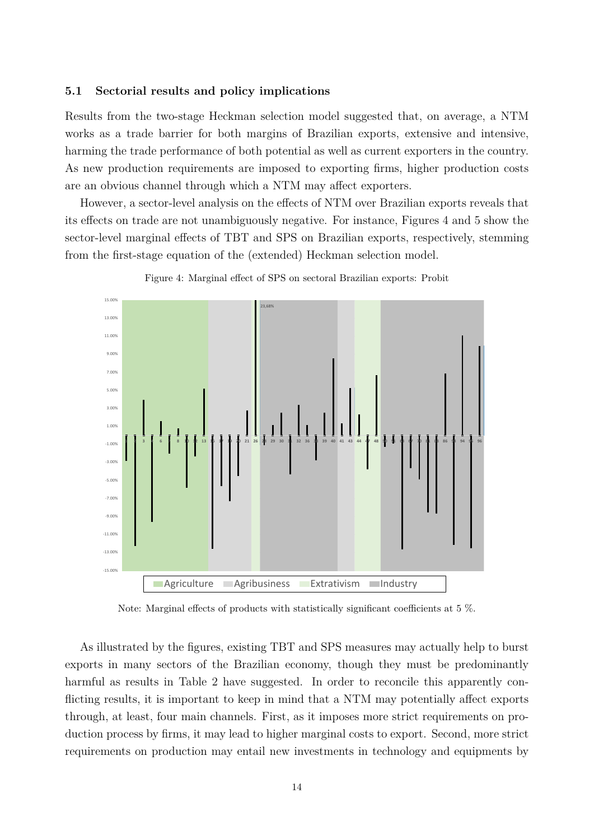#### **5.1 Sectorial results and policy implications**

Results from the two-stage Heckman selection model suggested that, on average, a NTM works as a trade barrier for both margins of Brazilian exports, extensive and intensive, harming the trade performance of both potential as well as current exporters in the country. As new production requirements are imposed to exporting firms, higher production costs are an obvious channel through which a NTM may affect exporters.

However, a sector-level analysis on the effects of NTM over Brazilian exports reveals that its effects on trade are not unambiguously negative. For instance, Figures 4 and 5 show the sector-level marginal effects of TBT and SPS on Brazilian exports, respectively, stemming from the first-stage equation of the (extended) Heckman selection model.



Figure 4: Marginal effect of SPS on sectoral Brazilian exports: Probit

Note: Marginal effects of products with statistically significant coefficients at 5 %.

As illustrated by the figures, existing TBT and SPS measures may actually help to burst exports in many sectors of the Brazilian economy, though they must be predominantly harmful as results in Table 2 have suggested. In order to reconcile this apparently conflicting results, it is important to keep in mind that a NTM may potentially affect exports through, at least, four main channels. First, as it imposes more strict requirements on production process by firms, it may lead to higher marginal costs to export. Second, more strict requirements on production may entail new investments in technology and equipments by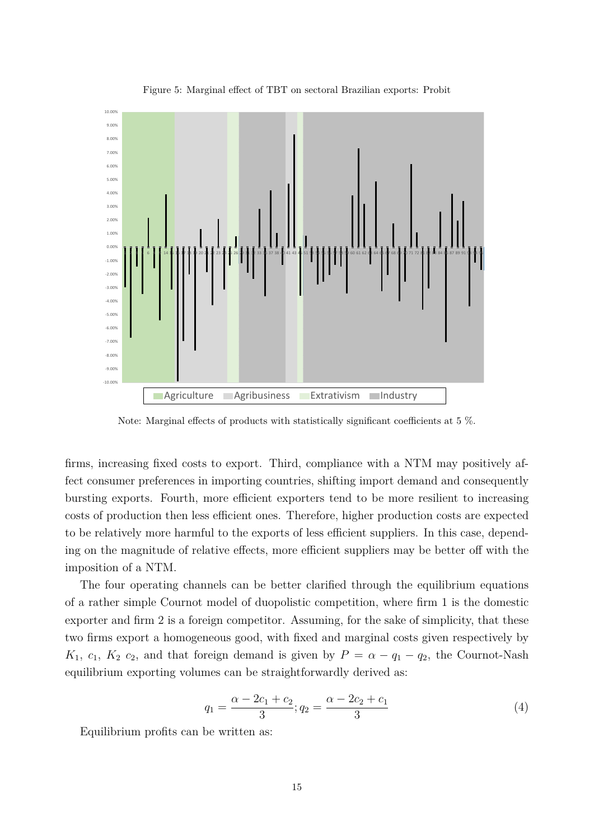

Figure 5: Marginal effect of TBT on sectoral Brazilian exports: Probit

Note: Marginal effects of products with statistically significant coefficients at 5 %.

firms, increasing fixed costs to export. Third, compliance with a NTM may positively affect consumer preferences in importing countries, shifting import demand and consequently bursting exports. Fourth, more efficient exporters tend to be more resilient to increasing costs of production then less efficient ones. Therefore, higher production costs are expected to be relatively more harmful to the exports of less efficient suppliers. In this case, depending on the magnitude of relative effects, more efficient suppliers may be better off with the imposition of a NTM.

The four operating channels can be better clarified through the equilibrium equations of a rather simple Cournot model of duopolistic competition, where firm 1 is the domestic exporter and firm 2 is a foreign competitor. Assuming, for the sake of simplicity, that these two firms export a homogeneous good, with fixed and marginal costs given respectively by *K*<sub>1</sub>, *c*<sub>1</sub>, *K*<sub>2</sub> *c*<sub>2</sub>, and that foreign demand is given by  $P = \alpha - q_1 - q_2$ , the Cournot-Nash equilibrium exporting volumes can be straightforwardly derived as:

$$
q_1 = \frac{\alpha - 2c_1 + c_2}{3}; q_2 = \frac{\alpha - 2c_2 + c_1}{3}
$$
 (4)

Equilibrium profits can be written as: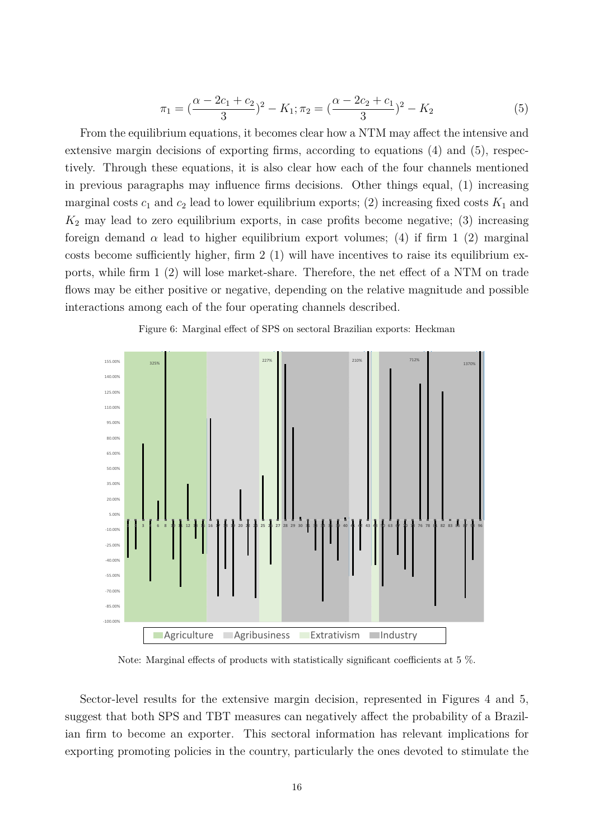$$
\pi_1 = \left(\frac{\alpha - 2c_1 + c_2}{3}\right)^2 - K_1; \pi_2 = \left(\frac{\alpha - 2c_2 + c_1}{3}\right)^2 - K_2
$$
\n(5)

From the equilibrium equations, it becomes clear how a NTM may affect the intensive and extensive margin decisions of exporting firms, according to equations (4) and (5), respectively. Through these equations, it is also clear how each of the four channels mentioned in previous paragraphs may influence firms decisions. Other things equal, (1) increasing marginal costs  $c_1$  and  $c_2$  lead to lower equilibrium exports; (2) increasing fixed costs  $K_1$  and  $K_2$  may lead to zero equilibrium exports, in case profits become negative; (3) increasing foreign demand  $\alpha$  lead to higher equilibrium export volumes; (4) if firm 1 (2) marginal costs become sufficiently higher, firm 2 (1) will have incentives to raise its equilibrium exports, while firm 1 (2) will lose market-share. Therefore, the net effect of a NTM on trade flows may be either positive or negative, depending on the relative magnitude and possible interactions among each of the four operating channels described.



Figure 6: Marginal effect of SPS on sectoral Brazilian exports: Heckman

Note: Marginal effects of products with statistically significant coefficients at 5 %.

Sector-level results for the extensive margin decision, represented in Figures 4 and 5, suggest that both SPS and TBT measures can negatively affect the probability of a Brazilian firm to become an exporter. This sectoral information has relevant implications for exporting promoting policies in the country, particularly the ones devoted to stimulate the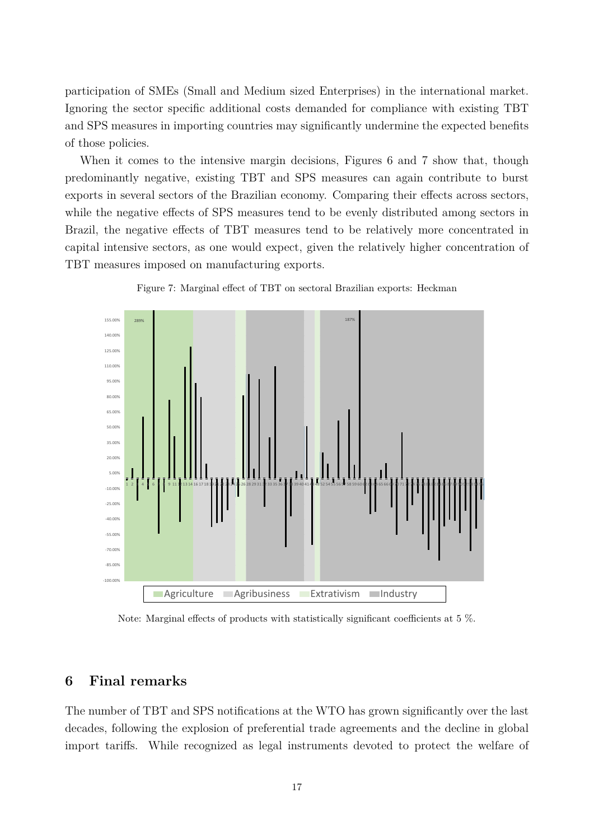participation of SMEs (Small and Medium sized Enterprises) in the international market. Ignoring the sector specific additional costs demanded for compliance with existing TBT and SPS measures in importing countries may significantly undermine the expected benefits of those policies.

When it comes to the intensive margin decisions, Figures 6 and 7 show that, though predominantly negative, existing TBT and SPS measures can again contribute to burst exports in several sectors of the Brazilian economy. Comparing their effects across sectors, while the negative effects of SPS measures tend to be evenly distributed among sectors in Brazil, the negative effects of TBT measures tend to be relatively more concentrated in capital intensive sectors, as one would expect, given the relatively higher concentration of TBT measures imposed on manufacturing exports.





Note: Marginal effects of products with statistically significant coefficients at 5 %.

# **6 Final remarks**

The number of TBT and SPS notifications at the WTO has grown significantly over the last decades, following the explosion of preferential trade agreements and the decline in global import tariffs. While recognized as legal instruments devoted to protect the welfare of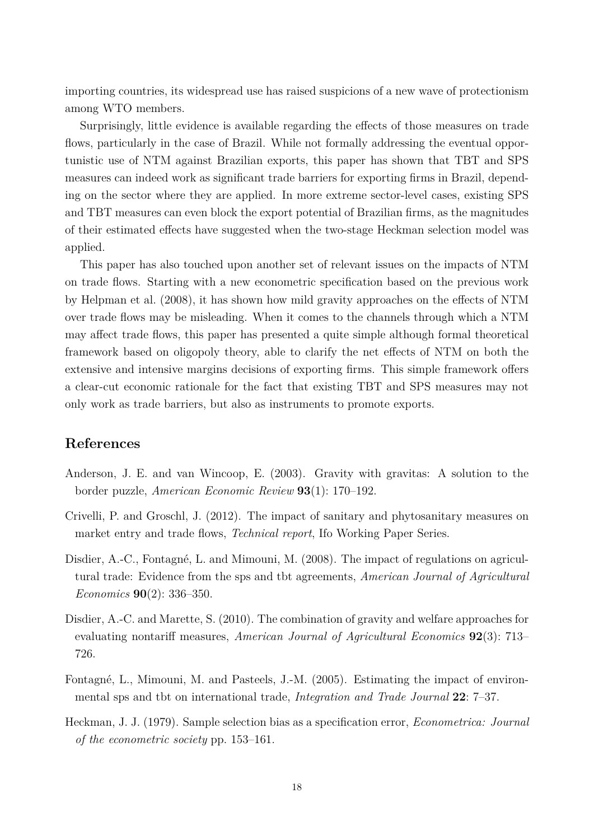importing countries, its widespread use has raised suspicions of a new wave of protectionism among WTO members.

Surprisingly, little evidence is available regarding the effects of those measures on trade flows, particularly in the case of Brazil. While not formally addressing the eventual opportunistic use of NTM against Brazilian exports, this paper has shown that TBT and SPS measures can indeed work as significant trade barriers for exporting firms in Brazil, depending on the sector where they are applied. In more extreme sector-level cases, existing SPS and TBT measures can even block the export potential of Brazilian firms, as the magnitudes of their estimated effects have suggested when the two-stage Heckman selection model was applied.

This paper has also touched upon another set of relevant issues on the impacts of NTM on trade flows. Starting with a new econometric specification based on the previous work by Helpman et al. (2008), it has shown how mild gravity approaches on the effects of NTM over trade flows may be misleading. When it comes to the channels through which a NTM may affect trade flows, this paper has presented a quite simple although formal theoretical framework based on oligopoly theory, able to clarify the net effects of NTM on both the extensive and intensive margins decisions of exporting firms. This simple framework offers a clear-cut economic rationale for the fact that existing TBT and SPS measures may not only work as trade barriers, but also as instruments to promote exports.

# **References**

- Anderson, J. E. and van Wincoop, E. (2003). Gravity with gravitas: A solution to the border puzzle, *American Economic Review* **93**(1): 170–192.
- Crivelli, P. and Groschl, J. (2012). The impact of sanitary and phytosanitary measures on market entry and trade flows, *Technical report*, Ifo Working Paper Series.
- Disdier, A.-C., Fontagné, L. and Mimouni, M. (2008). The impact of regulations on agricultural trade: Evidence from the sps and tbt agreements, *American Journal of Agricultural Economics* **90**(2): 336–350.
- Disdier, A.-C. and Marette, S. (2010). The combination of gravity and welfare approaches for evaluating nontariff measures, *American Journal of Agricultural Economics* **92**(3): 713– 726.
- Fontagné, L., Mimouni, M. and Pasteels, J.-M. (2005). Estimating the impact of environmental sps and tbt on international trade, *Integration and Trade Journal* **22**: 7–37.
- Heckman, J. J. (1979). Sample selection bias as a specification error, *Econometrica: Journal of the econometric society* pp. 153–161.